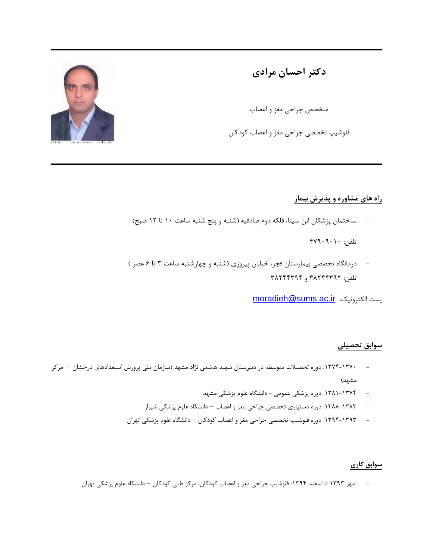**دکتر احسان مرادی**

متخصص جراحی مغز و اعصاب

فلوشیپ تخصصی جراحی مغز و اعصاب کودکان

**راه های مشاوره و پذیرش بیمار**

ساختمان پزشکان ابن سینا، فلکه دوم صادقیه (شنبه و پنج شنبه ساعت ۱۰ تا ۱۲ صبح)

تلفن: ۰۱۰۱۰۱۰۱

- درمانگاه تخصصی بیمارستان فجر، خیابان پیروزی )شنبه و چهارشنبه ساعت ۳ تا ۶ عصر ( تلفن: ۳۹۱۰۰۳۰۱ و ۳۹۱۰۰۳۰۰

[moradieh@sums.ac.ir](mailto:moradieh@sums.ac.ir) :الکترونیک پست

## **سوابق تحصیلی**

- :۰۳۱۰-۰۳۱۱ دوره تحصیالت متوسطه در دبیرستان شهید هاشمی نژاد مشهد )سازمان ملی پرورش استعدادهای درخشان مرکز مشهد)
	- :۰۳۹۰-۰۳۱۰ دوره پزشکی عمومی دانشگاه علوم پزشکی مشهد
	- :۰۳۹۹-۰۳۹۳ دوره دستیاری تخصصی جراحی مغز و اعصاب دانشگاه علوم پزشکی شیراز
	- :۰۳۰۰-۰۳۰۳ دوره فلوشیپ تخصصی جراحی مغز و اعصاب کودکان دانشگاه علوم پزشکی تهران

## **سوابق کاری**

مهر ۱۳۹۳ تا اسفند ۱۳۹۴: فلوشیپ جراحی مغز و اعصاب کودکان، مرکز طبی کودکان – دانشگاه علوم پزشکی تهران

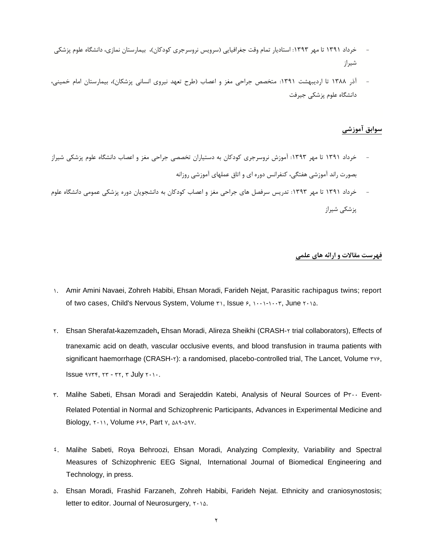- خرداد ۱۳۹۱ تا مهر ۱۳۹۳: استادیار تمام وقت جغرافیایی (سرویس نروسرجری کودکان)، بیمارستان نمازی، دانشگاه علوم پزشکی شیراز
- آذر ۱۳۸۸ تا اردیبهشت ۱۳۹۱: متخصص جراحی مغز و اعصاب (طرح تعهد نیروی انسانی پزشکان)، بیمارستان امام خمینی، دانشگاه علوم پزشکی جیرفت

## **سوابق آموزشی**

- خرداد ۱۳۹۱ تا مهر ۱۳۹۳: آموزش نروسرجری کودکان به دستیاران تخصصی جراحی مغز و اعصاب دانشگاه علوم پزشکی شیراز بصورت راند آموزشی هفتگی، کنفرانس دوره ای و اتاق عملهای آموزشی روزانه
- خرداد ۱۳۹۱ تا مهر ۱۳۹۳: تدریس سرفصل های جراحی مغز و اعصاب کودکان به دانشجویان دوره پزشکی عمومی دانشگاه علوم پزشکی شیراز

## **فهرست مقاالت و ارائه های علمی**

- ۰. Amir Amini [Navaei,](http://link.springer.com/search?facet-creator=%22Ami+Amini+Navaei%22) [Zohreh](http://link.springer.com/search?facet-creator=%22Zohreh+Habibi%22) Habibi, Ehsan [Moradi,](http://link.springer.com/search?facet-creator=%22Ehsan+Moradi%22) [Farideh](http://link.springer.com/search?facet-creator=%22Farideh+Nejat%22) Nejat, Parasitic rachipagus twins; report of two cases, Child's Nervous System, Volume ٣١, [Issue](http://link.springer.com/journal/381/31/6/page/1) ۶, ١٠٠١-١٠٠٣, June ٢٠١۵.
- ۱. Ehsan Sherafat**-**kazemzadeh**,** Ehsan Moradi, Alireza Sheikhi (CRASH-۱ trial collaborators), Effects of tranexamic acid on death, vascular occlusive events, and blood transfusion in trauma patients with significant haemorrhage (CRASH-٢): a randomised, placebo-controlled trial, The Lancet, Volume ٣٧۶, Issue  $\gamma$ re,  $\gamma$ re - ۳۲,  $\gamma$  July  $\gamma \cdots$ .
- ۳. Malihe Sabeti, Ehsan Moradi and Serajeddin Katebi, Analysis of Neural Sources of P۳۱۱ Event-Related Potential in Normal and Schizophrenic Participants, Advances in Experimental Medicine and Biology, ۲۰۱۱, Volume ۶۹۶, Part v, ΔΛ۹-Δ۹۷.
- 4. Malihe Sabeti, Roya Behroozi, Ehsan Moradi, Analyzing Complexity, Variability and Spectral Measures of Schizophrenic EEG Signal, International Journal of Biomedical Engineering and Technology, in press.
- 2. Ehsan Moradi, Frashid Farzaneh, Zohreh Habibi, Farideh Nejat. Ethnicity and craniosynostosis; letter to editor. Journal of Neurosurgery,  $\mathbf{r} \cdot \mathbf{r}$ .